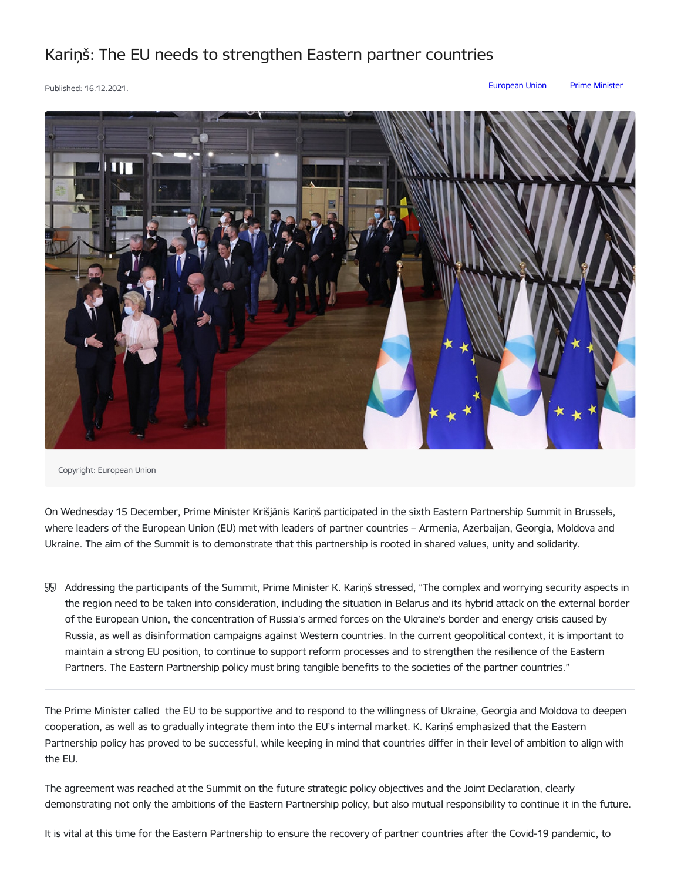## Kariņš: The EU needs to strengthen Eastern partner countries

Published: 16.12.2021. [European](https://www.mk.gov.lv/en/articles?category%255B207%255D=207) Union Prime [Minister](https://www.mk.gov.lv/en/articles?category%255B146%255D=146)



Copyright: European Union

On Wednesday 15 December, Prime Minister Krišjānis Kariņš participated in the sixth Eastern Partnership Summit in Brussels, where leaders of the European Union (EU) met with leaders of partner countries – Armenia, Azerbaijan, Georgia, Moldova and Ukraine. The aim of the Summit is to demonstrate that this partnership is rooted in shared values, unity and solidarity.

Addressing the participants of the Summit, Prime Minister K. Kariņš stressed, "The complex and worrying security aspects in the region need to be taken into consideration, including the situation in Belarus and its hybrid attack on the external border of the European Union, the concentration of Russia's armed forces on the Ukraine's border and energy crisis caused by Russia, as well as disinformation campaigns against Western countries. In the current geopolitical context, it is important to maintain a strong EU position, to continue to support reform processes and to strengthen the resilience of the Eastern Partners. The Eastern Partnership policy must bring tangible benefits to the societies of the partner countries."

The Prime Minister called the EU to be supportive and to respond to the willingness of Ukraine, Georgia and Moldova to deepen cooperation, as well as to gradually integrate them into the EU's internal market. K. Kariņš emphasized that the Eastern Partnership policy has proved to be successful, while keeping in mind that countries differ in their level of ambition to align with the EU.

The agreement was reached at the Summit on the future strategic policy objectives and the Joint Declaration, clearly demonstrating not only the ambitions of the Eastern Partnership policy, but also mutual responsibility to continue it in the future.

It is vital at this time for the Eastern Partnership to ensure the recovery of partner countries after the Covid-19 pandemic, to